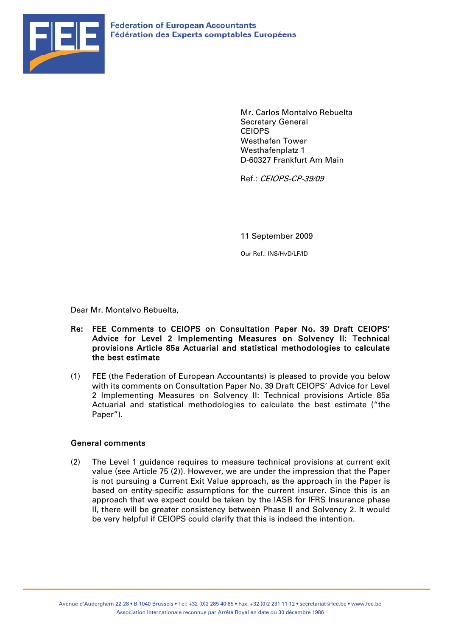

Mr. Carlos Montalvo Rebuelta Secretary General CEIOPS Westhafen Tower Westhafenplatz 1 D-60327 Frankfurt Am Main

Ref.: CEIOPS-CP-39/09

11 September 2009

Our Ref.: INS/HvD/LF/ID

Dear Mr. Montalvo Rebuelta,

#### Re: FEE Comments to CEIOPS on Consultation Paper No. 39 Draft CEIOPS' Advice for Level 2 Implementing Measures on Solvency II: Technical provisions Article 85a Actuarial and statistical methodologies to calculate the best estimate

(1) FEE (the Federation of European Accountants) is pleased to provide you below with its comments on Consultation Paper No. 39 Draft CEIOPS' Advice for Level 2 Implementing Measures on Solvency II: Technical provisions Article 85a Actuarial and statistical methodologies to calculate the best estimate ("the Paper").

#### General comments

(2) The Level 1 guidance requires to measure technical provisions at current exit value (see Article 75 (2)). However, we are under the impression that the Paper is not pursuing a Current Exit Value approach, as the approach in the Paper is based on entity-specific assumptions for the current insurer. Since this is an approach that we expect could be taken by the IASB for IFRS Insurance phase II, there will be greater consistency between Phase II and Solvency 2. It would be very helpful if CEIOPS could clarify that this is indeed the intention.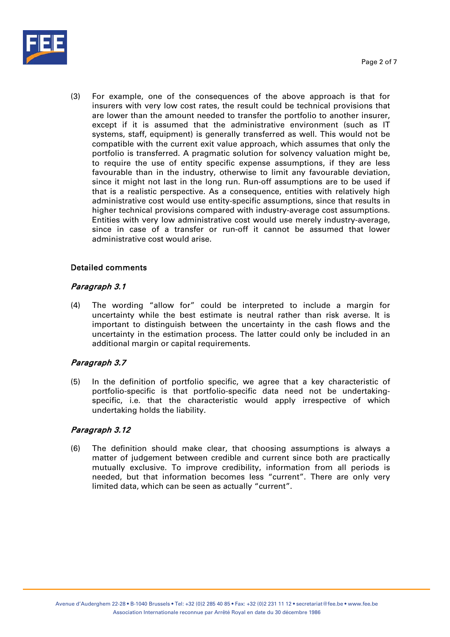

(3) For example, one of the consequences of the above approach is that for insurers with very low cost rates, the result could be technical provisions that are lower than the amount needed to transfer the portfolio to another insurer, except if it is assumed that the administrative environment (such as IT systems, staff, equipment) is generally transferred as well. This would not be compatible with the current exit value approach, which assumes that only the portfolio is transferred. A pragmatic solution for solvency valuation might be, to require the use of entity specific expense assumptions, if they are less favourable than in the industry, otherwise to limit any favourable deviation, since it might not last in the long run. Run-off assumptions are to be used if that is a realistic perspective. As a consequence, entities with relatively high administrative cost would use entity-specific assumptions, since that results in higher technical provisions compared with industry-average cost assumptions. Entities with very low administrative cost would use merely industry-average, since in case of a transfer or run-off it cannot be assumed that lower administrative cost would arise.

### Detailed comments

### Paragraph 3.1

(4) The wording "allow for" could be interpreted to include a margin for uncertainty while the best estimate is neutral rather than risk averse. It is important to distinguish between the uncertainty in the cash flows and the uncertainty in the estimation process. The latter could only be included in an additional margin or capital requirements.

## Paragraph 3.7

(5) In the definition of portfolio specific, we agree that a key characteristic of portfolio-specific is that portfolio-specific data need not be undertakingspecific, i.e. that the characteristic would apply irrespective of which undertaking holds the liability.

### Paragraph 3.12

(6) The definition should make clear, that choosing assumptions is always a matter of judgement between credible and current since both are practically mutually exclusive. To improve credibility, information from all periods is needed, but that information becomes less "current". There are only very limited data, which can be seen as actually "current".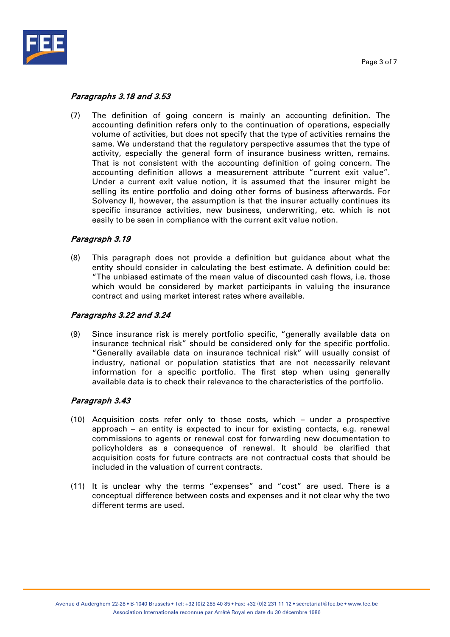

## Paragraphs 3.18 and 3.53

(7) The definition of going concern is mainly an accounting definition. The accounting definition refers only to the continuation of operations, especially volume of activities, but does not specify that the type of activities remains the same. We understand that the regulatory perspective assumes that the type of activity, especially the general form of insurance business written, remains. That is not consistent with the accounting definition of going concern. The accounting definition allows a measurement attribute "current exit value". Under a current exit value notion, it is assumed that the insurer might be selling its entire portfolio and doing other forms of business afterwards. For Solvency II, however, the assumption is that the insurer actually continues its specific insurance activities, new business, underwriting, etc. which is not easily to be seen in compliance with the current exit value notion.

## Paragraph 3.19

(8) This paragraph does not provide a definition but guidance about what the entity should consider in calculating the best estimate. A definition could be: "The unbiased estimate of the mean value of discounted cash flows, i.e. those which would be considered by market participants in valuing the insurance contract and using market interest rates where available.

### Paragraphs 3.22 and 3.24

(9) Since insurance risk is merely portfolio specific, "generally available data on insurance technical risk" should be considered only for the specific portfolio. "Generally available data on insurance technical risk" will usually consist of industry, national or population statistics that are not necessarily relevant information for a specific portfolio. The first step when using generally available data is to check their relevance to the characteristics of the portfolio.

### Paragraph 3.43

- (10) Acquisition costs refer only to those costs, which under a prospective approach – an entity is expected to incur for existing contacts, e.g. renewal commissions to agents or renewal cost for forwarding new documentation to policyholders as a consequence of renewal. It should be clarified that acquisition costs for future contracts are not contractual costs that should be included in the valuation of current contracts.
- (11) It is unclear why the terms "expenses" and "cost" are used. There is a conceptual difference between costs and expenses and it not clear why the two different terms are used.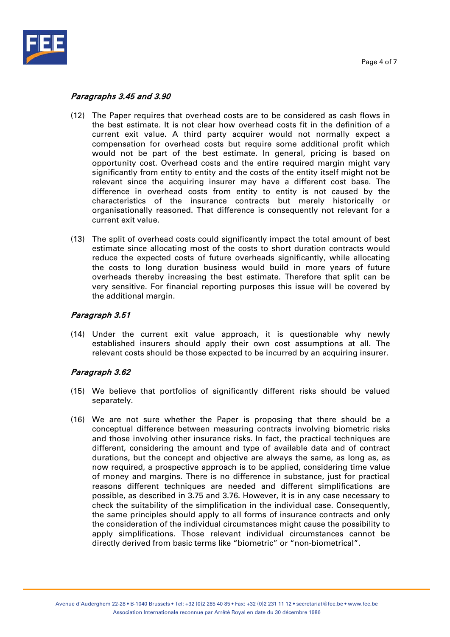

### Paragraphs 3.45 and 3.90

- (12) The Paper requires that overhead costs are to be considered as cash flows in the best estimate. It is not clear how overhead costs fit in the definition of a current exit value. A third party acquirer would not normally expect a compensation for overhead costs but require some additional profit which would not be part of the best estimate. In general, pricing is based on opportunity cost. Overhead costs and the entire required margin might vary significantly from entity to entity and the costs of the entity itself might not be relevant since the acquiring insurer may have a different cost base. The difference in overhead costs from entity to entity is not caused by the characteristics of the insurance contracts but merely historically or organisationally reasoned. That difference is consequently not relevant for a current exit value.
- (13) The split of overhead costs could significantly impact the total amount of best estimate since allocating most of the costs to short duration contracts would reduce the expected costs of future overheads significantly, while allocating the costs to long duration business would build in more years of future overheads thereby increasing the best estimate. Therefore that split can be very sensitive. For financial reporting purposes this issue will be covered by the additional margin.

## Paragraph 3.51

(14) Under the current exit value approach, it is questionable why newly established insurers should apply their own cost assumptions at all. The relevant costs should be those expected to be incurred by an acquiring insurer.

## Paragraph 3.62

- (15) We believe that portfolios of significantly different risks should be valued separately.
- (16) We are not sure whether the Paper is proposing that there should be a conceptual difference between measuring contracts involving biometric risks and those involving other insurance risks. In fact, the practical techniques are different, considering the amount and type of available data and of contract durations, but the concept and objective are always the same, as long as, as now required, a prospective approach is to be applied, considering time value of money and margins. There is no difference in substance, just for practical reasons different techniques are needed and different simplifications are possible, as described in 3.75 and 3.76. However, it is in any case necessary to check the suitability of the simplification in the individual case. Consequently, the same principles should apply to all forms of insurance contracts and only the consideration of the individual circumstances might cause the possibility to apply simplifications. Those relevant individual circumstances cannot be directly derived from basic terms like "biometric" or "non-biometrical".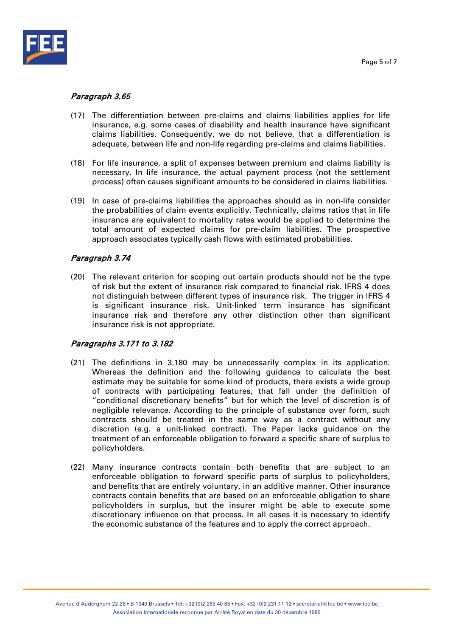

## Paragraph 3.65

- (17) The differentiation between pre-claims and claims liabilities applies for life insurance, e.g. some cases of disability and health insurance have significant claims liabilities. Consequently, we do not believe, that a differentiation is adequate, between life and non-life regarding pre-claims and claims liabilities.
- (18) For life insurance, a split of expenses between premium and claims liability is necessary. In life insurance, the actual payment process (not the settlement process) often causes significant amounts to be considered in claims liabilities.
- (19) In case of pre-claims liabilities the approaches should as in non-life consider the probabilities of claim events explicitly. Technically, claims ratios that in life insurance are equivalent to mortality rates would be applied to determine the total amount of expected claims for pre-claim liabilities. The prospective approach associates typically cash flows with estimated probabilities.

### Paragraph 3.74

(20) The relevant criterion for scoping out certain products should not be the type of risk but the extent of insurance risk compared to financial risk. IFRS 4 does not distinguish between different types of insurance risk. The trigger in IFRS 4 is significant insurance risk. Unit-linked term insurance has significant insurance risk and therefore any other distinction other than significant insurance risk is not appropriate.

## Paragraphs 3.171 to 3.182

- (21) The definitions in 3.180 may be unnecessarily complex in its application. Whereas the definition and the following guidance to calculate the best estimate may be suitable for some kind of products, there exists a wide group of contracts with participating features, that fall under the definition of "conditional discretionary benefits" but for which the level of discretion is of negligible relevance. According to the principle of substance over form, such contracts should be treated in the same way as a contract without any discretion (e.g. a unit-linked contract). The Paper lacks guidance on the treatment of an enforceable obligation to forward a specific share of surplus to policyholders.
- (22) Many insurance contracts contain both benefits that are subject to an enforceable obligation to forward specific parts of surplus to policyholders, and benefits that are entirely voluntary, in an additive manner. Other insurance contracts contain benefits that are based on an enforceable obligation to share policyholders in surplus, but the insurer might be able to execute some discretionary influence on that process. In all cases it is necessary to identify the economic substance of the features and to apply the correct approach.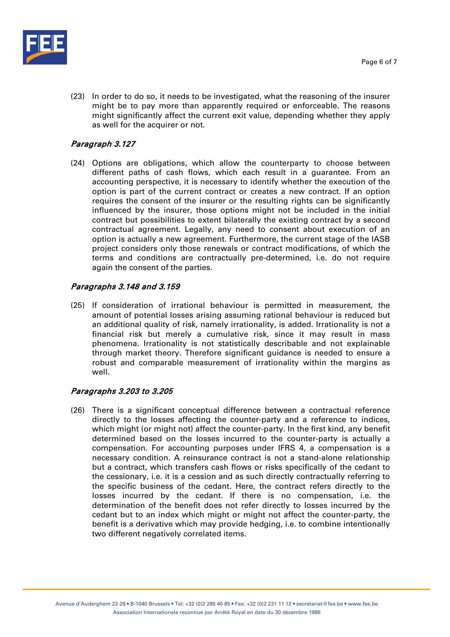

(23) In order to do so, it needs to be investigated, what the reasoning of the insurer might be to pay more than apparently required or enforceable. The reasons might significantly affect the current exit value, depending whether they apply as well for the acquirer or not.

# Paragraph 3.127

(24) Options are obligations, which allow the counterparty to choose between different paths of cash flows, which each result in a guarantee. From an accounting perspective, it is necessary to identify whether the execution of the option is part of the current contract or creates a new contract. If an option requires the consent of the insurer or the resulting rights can be significantly influenced by the insurer, those options might not be included in the initial contract but possibilities to extent bilaterally the existing contract by a second contractual agreement. Legally, any need to consent about execution of an option is actually a new agreement. Furthermore, the current stage of the IASB project considers only those renewals or contract modifications, of which the terms and conditions are contractually pre-determined, i.e. do not require again the consent of the parties.

# Paragraphs 3.148 and 3.159

(25) If consideration of irrational behaviour is permitted in measurement, the amount of potential losses arising assuming rational behaviour is reduced but an additional quality of risk, namely irrationality, is added. Irrationality is not a financial risk but merely a cumulative risk, since it may result in mass phenomena. Irrationality is not statistically describable and not explainable through market theory. Therefore significant guidance is needed to ensure a robust and comparable measurement of irrationality within the margins as well.

## Paragraphs 3.203 to 3.205

(26) There is a significant conceptual difference between a contractual reference directly to the losses affecting the counter-party and a reference to indices, which might (or might not) affect the counter-party. In the first kind, any benefit determined based on the losses incurred to the counter-party is actually a compensation. For accounting purposes under IFRS 4, a compensation is a necessary condition. A reinsurance contract is not a stand-alone relationship but a contract, which transfers cash flows or risks specifically of the cedant to the cessionary, i.e. it is a cession and as such directly contractually referring to the specific business of the cedant. Here, the contract refers directly to the losses incurred by the cedant. If there is no compensation, i.e. the determination of the benefit does not refer directly to losses incurred by the cedant but to an index which might or might not affect the counter-party, the benefit is a derivative which may provide hedging, i.e. to combine intentionally two different negatively correlated items.